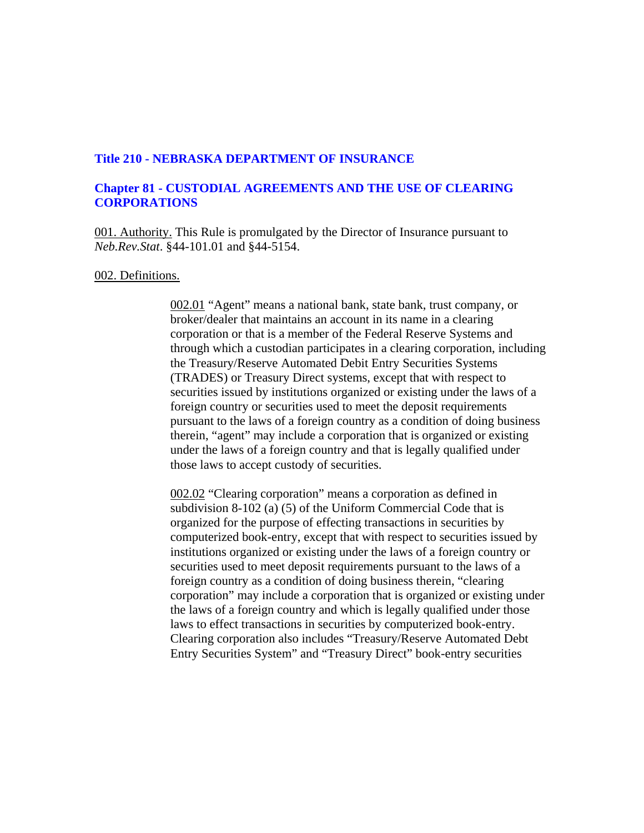### **Title 210 - NEBRASKA DEPARTMENT OF INSURANCE**

# **Chapter 81 - CUSTODIAL AGREEMENTS AND THE USE OF CLEARING CORPORATIONS**

001. Authority. This Rule is promulgated by the Director of Insurance pursuant to *Neb.Rev.Stat*. §44-101.01 and §44-5154.

#### 002. Definitions.

002.01 "Agent" means a national bank, state bank, trust company, or broker/dealer that maintains an account in its name in a clearing corporation or that is a member of the Federal Reserve Systems and through which a custodian participates in a clearing corporation, including the Treasury/Reserve Automated Debit Entry Securities Systems (TRADES) or Treasury Direct systems, except that with respect to securities issued by institutions organized or existing under the laws of a foreign country or securities used to meet the deposit requirements pursuant to the laws of a foreign country as a condition of doing business therein, "agent" may include a corporation that is organized or existing under the laws of a foreign country and that is legally qualified under those laws to accept custody of securities.

002.02 "Clearing corporation" means a corporation as defined in subdivision 8-102 (a) (5) of the Uniform Commercial Code that is organized for the purpose of effecting transactions in securities by computerized book-entry, except that with respect to securities issued by institutions organized or existing under the laws of a foreign country or securities used to meet deposit requirements pursuant to the laws of a foreign country as a condition of doing business therein, "clearing corporation" may include a corporation that is organized or existing under the laws of a foreign country and which is legally qualified under those laws to effect transactions in securities by computerized book-entry. Clearing corporation also includes "Treasury/Reserve Automated Debt Entry Securities System" and "Treasury Direct" book-entry securities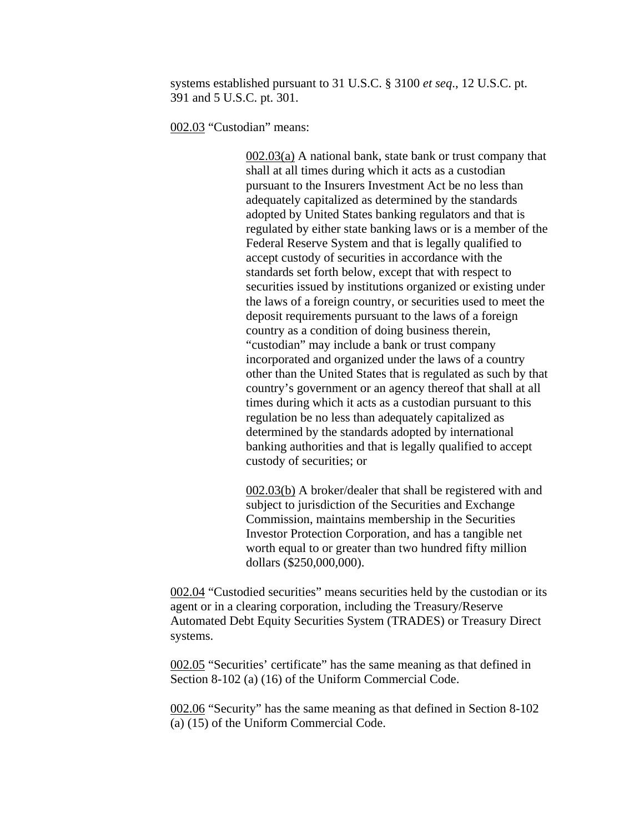systems established pursuant to 31 U.S.C. § 3100 *et seq*., 12 U.S.C. pt. 391 and 5 U.S.C. pt. 301.

002.03 "Custodian" means:

002.03(a) A national bank, state bank or trust company that shall at all times during which it acts as a custodian pursuant to the Insurers Investment Act be no less than adequately capitalized as determined by the standards adopted by United States banking regulators and that is regulated by either state banking laws or is a member of the Federal Reserve System and that is legally qualified to accept custody of securities in accordance with the standards set forth below, except that with respect to securities issued by institutions organized or existing under the laws of a foreign country, or securities used to meet the deposit requirements pursuant to the laws of a foreign country as a condition of doing business therein, "custodian" may include a bank or trust company incorporated and organized under the laws of a country other than the United States that is regulated as such by that country's government or an agency thereof that shall at all times during which it acts as a custodian pursuant to this regulation be no less than adequately capitalized as determined by the standards adopted by international banking authorities and that is legally qualified to accept custody of securities; or

002.03(b) A broker/dealer that shall be registered with and subject to jurisdiction of the Securities and Exchange Commission, maintains membership in the Securities Investor Protection Corporation, and has a tangible net worth equal to or greater than two hundred fifty million dollars (\$250,000,000).

002.04 "Custodied securities" means securities held by the custodian or its agent or in a clearing corporation, including the Treasury/Reserve Automated Debt Equity Securities System (TRADES) or Treasury Direct systems.

002.05 "Securities' certificate" has the same meaning as that defined in Section 8-102 (a) (16) of the Uniform Commercial Code.

002.06 "Security" has the same meaning as that defined in Section 8-102 (a) (15) of the Uniform Commercial Code.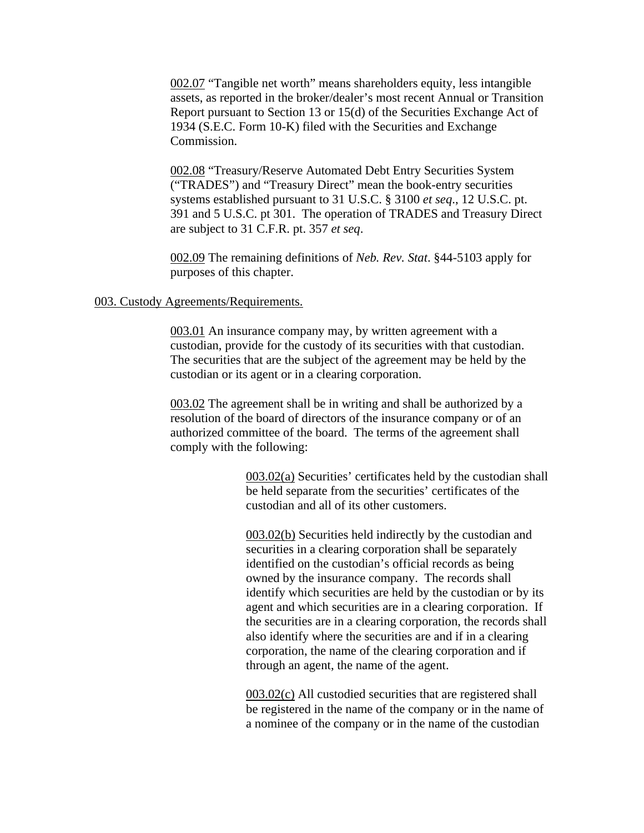002.07 "Tangible net worth" means shareholders equity, less intangible assets, as reported in the broker/dealer's most recent Annual or Transition Report pursuant to Section 13 or 15(d) of the Securities Exchange Act of 1934 (S.E.C. Form 10-K) filed with the Securities and Exchange Commission.

002.08 "Treasury/Reserve Automated Debt Entry Securities System ("TRADES") and "Treasury Direct" mean the book-entry securities systems established pursuant to 31 U.S.C. § 3100 *et seq*., 12 U.S.C. pt. 391 and 5 U.S.C. pt 301. The operation of TRADES and Treasury Direct are subject to 31 C.F.R. pt. 357 *et seq*.

002.09 The remaining definitions of *Neb. Rev. Stat*. §44-5103 apply for purposes of this chapter.

#### 003. Custody Agreements/Requirements.

003.01 An insurance company may, by written agreement with a custodian, provide for the custody of its securities with that custodian. The securities that are the subject of the agreement may be held by the custodian or its agent or in a clearing corporation.

003.02 The agreement shall be in writing and shall be authorized by a resolution of the board of directors of the insurance company or of an authorized committee of the board. The terms of the agreement shall comply with the following:

> 003.02(a) Securities' certificates held by the custodian shall be held separate from the securities' certificates of the custodian and all of its other customers.

> 003.02(b) Securities held indirectly by the custodian and securities in a clearing corporation shall be separately identified on the custodian's official records as being owned by the insurance company. The records shall identify which securities are held by the custodian or by its agent and which securities are in a clearing corporation. If the securities are in a clearing corporation, the records shall also identify where the securities are and if in a clearing corporation, the name of the clearing corporation and if through an agent, the name of the agent.

> 003.02(c) All custodied securities that are registered shall be registered in the name of the company or in the name of a nominee of the company or in the name of the custodian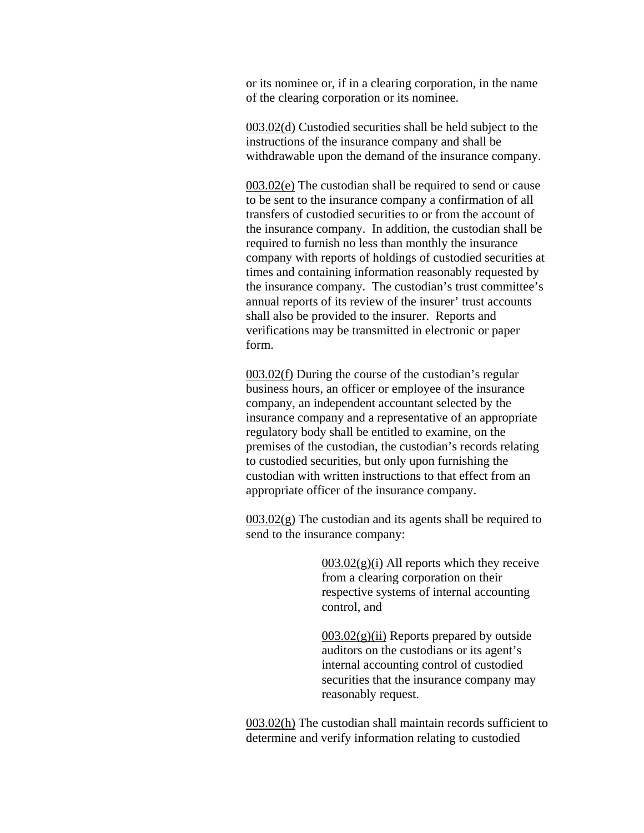or its nominee or, if in a clearing corporation, in the name of the clearing corporation or its nominee.

003.02(d) Custodied securities shall be held subject to the instructions of the insurance company and shall be withdrawable upon the demand of the insurance company.

003.02(e) The custodian shall be required to send or cause to be sent to the insurance company a confirmation of all transfers of custodied securities to or from the account of the insurance company. In addition, the custodian shall be required to furnish no less than monthly the insurance company with reports of holdings of custodied securities at times and containing information reasonably requested by the insurance company. The custodian's trust committee's annual reports of its review of the insurer' trust accounts shall also be provided to the insurer. Reports and verifications may be transmitted in electronic or paper form.

003.02(f) During the course of the custodian's regular business hours, an officer or employee of the insurance company, an independent accountant selected by the insurance company and a representative of an appropriate regulatory body shall be entitled to examine, on the premises of the custodian, the custodian's records relating to custodied securities, but only upon furnishing the custodian with written instructions to that effect from an appropriate officer of the insurance company.

 $003.02(g)$  The custodian and its agents shall be required to send to the insurance company:

> $003.02(g)(i)$  All reports which they receive from a clearing corporation on their respective systems of internal accounting control, and

 $003.02(g)(ii)$  Reports prepared by outside auditors on the custodians or its agent's internal accounting control of custodied securities that the insurance company may reasonably request.

003.02(h) The custodian shall maintain records sufficient to determine and verify information relating to custodied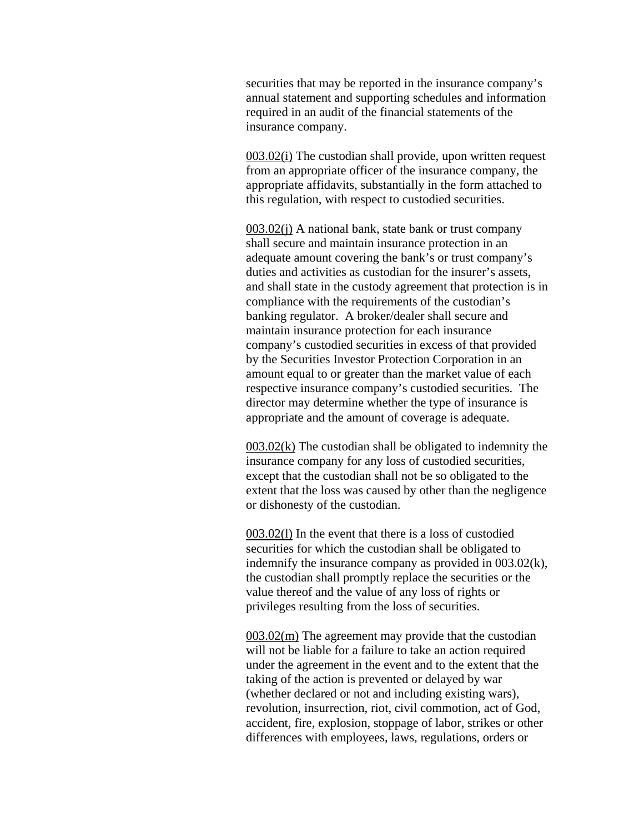securities that may be reported in the insurance company's annual statement and supporting schedules and information required in an audit of the financial statements of the insurance company.

003.02(i) The custodian shall provide, upon written request from an appropriate officer of the insurance company, the appropriate affidavits, substantially in the form attached to this regulation, with respect to custodied securities.

003.02(j) A national bank, state bank or trust company shall secure and maintain insurance protection in an adequate amount covering the bank's or trust company's duties and activities as custodian for the insurer's assets, and shall state in the custody agreement that protection is in compliance with the requirements of the custodian's banking regulator. A broker/dealer shall secure and maintain insurance protection for each insurance company's custodied securities in excess of that provided by the Securities Investor Protection Corporation in an amount equal to or greater than the market value of each respective insurance company's custodied securities. The director may determine whether the type of insurance is appropriate and the amount of coverage is adequate.

003.02(k) The custodian shall be obligated to indemnity the insurance company for any loss of custodied securities, except that the custodian shall not be so obligated to the extent that the loss was caused by other than the negligence or dishonesty of the custodian.

003.02(l) In the event that there is a loss of custodied securities for which the custodian shall be obligated to indemnify the insurance company as provided in 003.02(k), the custodian shall promptly replace the securities or the value thereof and the value of any loss of rights or privileges resulting from the loss of securities.

003.02(m) The agreement may provide that the custodian will not be liable for a failure to take an action required under the agreement in the event and to the extent that the taking of the action is prevented or delayed by war (whether declared or not and including existing wars), revolution, insurrection, riot, civil commotion, act of God, accident, fire, explosion, stoppage of labor, strikes or other differences with employees, laws, regulations, orders or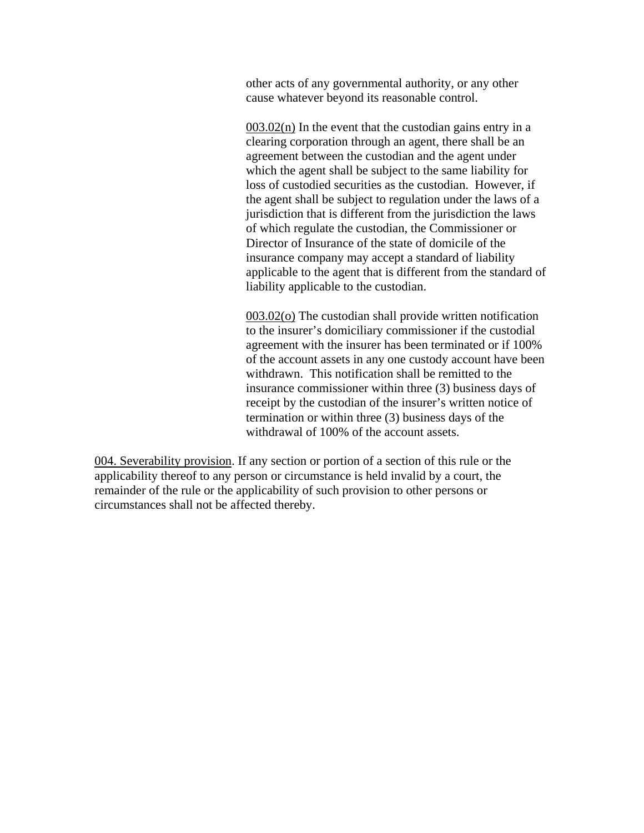other acts of any governmental authority, or any other cause whatever beyond its reasonable control.

 $003.02(n)$  In the event that the custodian gains entry in a clearing corporation through an agent, there shall be an agreement between the custodian and the agent under which the agent shall be subject to the same liability for loss of custodied securities as the custodian. However, if the agent shall be subject to regulation under the laws of a jurisdiction that is different from the jurisdiction the laws of which regulate the custodian, the Commissioner or Director of Insurance of the state of domicile of the insurance company may accept a standard of liability applicable to the agent that is different from the standard of liability applicable to the custodian.

003.02(o) The custodian shall provide written notification to the insurer's domiciliary commissioner if the custodial agreement with the insurer has been terminated or if 100% of the account assets in any one custody account have been withdrawn. This notification shall be remitted to the insurance commissioner within three (3) business days of receipt by the custodian of the insurer's written notice of termination or within three (3) business days of the withdrawal of 100% of the account assets.

004. Severability provision. If any section or portion of a section of this rule or the applicability thereof to any person or circumstance is held invalid by a court, the remainder of the rule or the applicability of such provision to other persons or circumstances shall not be affected thereby.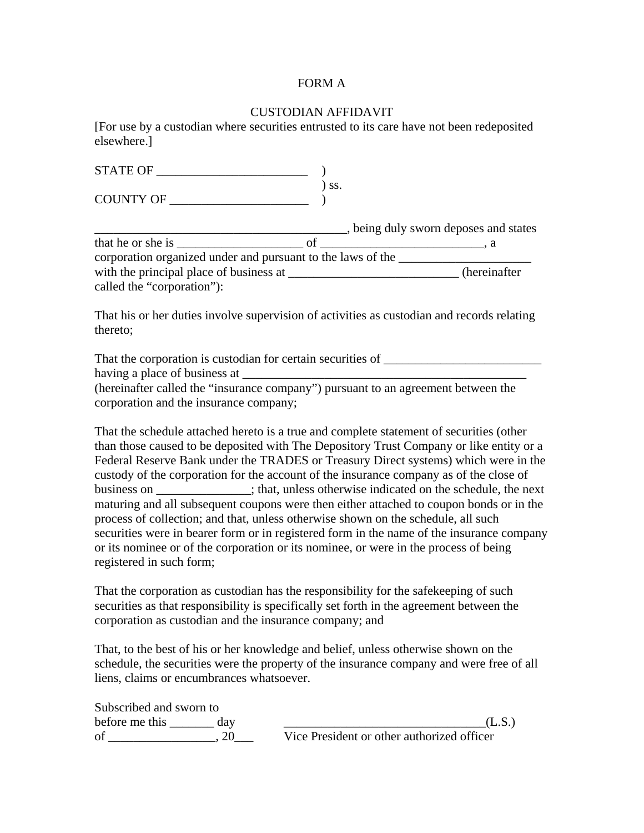### FORM A

### CUSTODIAN AFFIDAVIT

[For use by a custodian where securities entrusted to its care have not been redeposited elsewhere.]

| COUNTY OF                                                                                              | SS. |                                     |
|--------------------------------------------------------------------------------------------------------|-----|-------------------------------------|
|                                                                                                        |     | being duly sworn deposes and states |
|                                                                                                        |     |                                     |
| corporation organized under and pursuant to the laws of the                                            |     |                                     |
|                                                                                                        |     | (hereinafter                        |
| called the "corporation"):                                                                             |     |                                     |
| That his or her duties involve supervision of activities as custodian and records relating<br>thereto; |     |                                     |

That the corporation is custodian for certain securities of \_\_\_\_\_\_\_\_\_\_\_\_\_\_\_\_\_\_\_\_ having a place of business at  $\overline{\phantom{a}}$ (hereinafter called the "insurance company") pursuant to an agreement between the

corporation and the insurance company; That the schedule attached hereto is a true and complete statement of securities (other than those caused to be deposited with The Depository Trust Company or like entity or a Federal Reserve Bank under the TRADES or Treasury Direct systems) which were in the

custody of the corporation for the account of the insurance company as of the close of business on  $\cdot$ ; that, unless otherwise indicated on the schedule, the next maturing and all subsequent coupons were then either attached to coupon bonds or in the process of collection; and that, unless otherwise shown on the schedule, all such securities were in bearer form or in registered form in the name of the insurance company or its nominee or of the corporation or its nominee, or were in the process of being registered in such form;

That the corporation as custodian has the responsibility for the safekeeping of such securities as that responsibility is specifically set forth in the agreement between the corporation as custodian and the insurance company; and

That, to the best of his or her knowledge and belief, unless otherwise shown on the schedule, the securities were the property of the insurance company and were free of all liens, claims or encumbrances whatsoever.

| Subscribed and sworn to |                                            |
|-------------------------|--------------------------------------------|
| before me this<br>day   |                                            |
| of                      | Vice President or other authorized officer |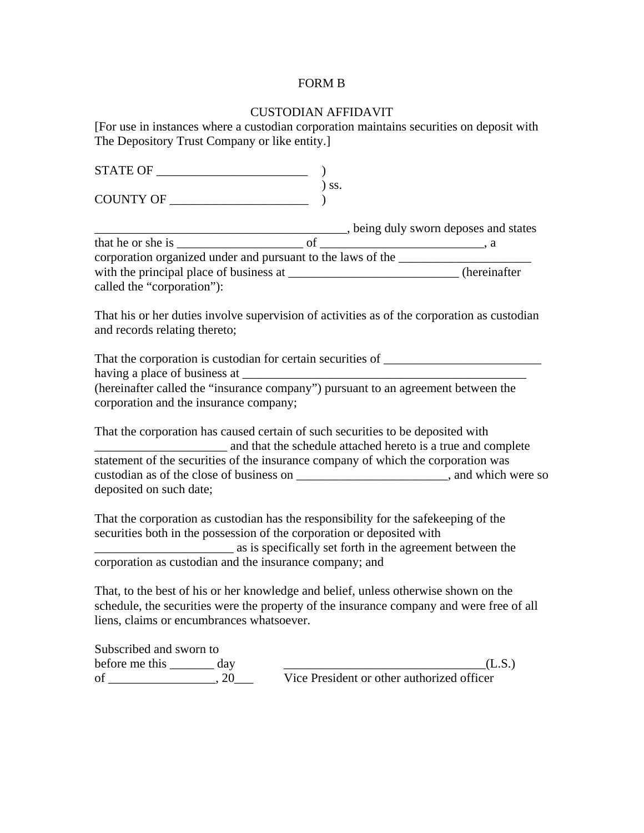# FORM B

# CUSTODIAN AFFIDAVIT

[For use in instances where a custodian corporation maintains securities on deposit with The Depository Trust Company or like entity.]

| $STATE OF $ (                                                                                                                                                 |            |                                                                                             |
|---------------------------------------------------------------------------------------------------------------------------------------------------------------|------------|---------------------------------------------------------------------------------------------|
|                                                                                                                                                               | $\int$ SS. |                                                                                             |
| COUNTY OF                                                                                                                                                     |            |                                                                                             |
|                                                                                                                                                               |            |                                                                                             |
|                                                                                                                                                               |            |                                                                                             |
| corporation organized under and pursuant to the laws of the                                                                                                   |            |                                                                                             |
|                                                                                                                                                               |            |                                                                                             |
| called the "corporation"):                                                                                                                                    |            |                                                                                             |
| and records relating thereto;                                                                                                                                 |            | That his or her duties involve supervision of activities as of the corporation as custodian |
|                                                                                                                                                               |            |                                                                                             |
|                                                                                                                                                               |            |                                                                                             |
| (hereinafter called the "insurance company") pursuant to an agreement between the<br>corporation and the insurance company;                                   |            |                                                                                             |
| That the corporation has caused certain of such securities to be deposited with<br>and that the schedule attached hereto is a true and complete               |            |                                                                                             |
| statement of the securities of the insurance company of which the corporation was                                                                             |            |                                                                                             |
|                                                                                                                                                               |            | custodian as of the close of business on ____________________________, and which were so    |
| deposited on such date;                                                                                                                                       |            |                                                                                             |
| That the corporation as custodian has the responsibility for the safekeeping of the<br>securities both in the possession of the corporation or deposited with |            |                                                                                             |
| as is specifically set forth in the agreement between the                                                                                                     |            |                                                                                             |
| corporation as custodian and the insurance company; and                                                                                                       |            |                                                                                             |
| That, to the best of his or her knowledge and belief, unless otherwise shown on the                                                                           |            |                                                                                             |
|                                                                                                                                                               |            | schedule, the securities were the property of the insurance company and were free of all    |

liens, claims or encumbrances whatsoever. Subscribed and sworn to

before me this  $\frac{day}{x^2 - y^2 - y^2}$   $\frac{day}{y^2 - y^2 - y^2}$   $\frac{y^2 - y^2}{y^2 - y^2 - y^2}$  (L.S.) Vice President or other authorized officer